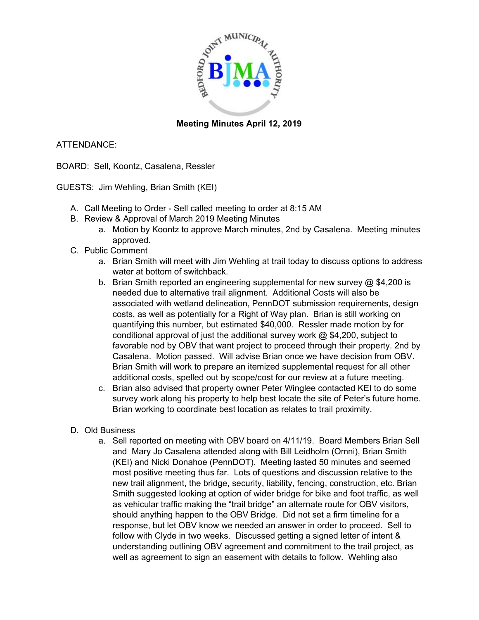

### **Meeting Minutes April 12, 2019**

### ATTENDANCE:

BOARD: Sell, Koontz, Casalena, Ressler

GUESTS: Jim Wehling, Brian Smith (KEI)

- A. Call Meeting to Order Sell called meeting to order at 8:15 AM
- B. Review & Approval of March 2019 Meeting Minutes
	- a. Motion by Koontz to approve March minutes, 2nd by Casalena. Meeting minutes approved.
- C. Public Comment
	- a. Brian Smith will meet with Jim Wehling at trail today to discuss options to address water at bottom of switchback.
	- b. Brian Smith reported an engineering supplemental for new survey @ \$4,200 is needed due to alternative trail alignment. Additional Costs will also be associated with wetland delineation, PennDOT submission requirements, design costs, as well as potentially for a Right of Way plan. Brian is still working on quantifying this number, but estimated \$40,000. Ressler made motion by for conditional approval of just the additional survey work @ \$4,200, subject to favorable nod by OBV that want project to proceed through their property. 2nd by Casalena. Motion passed. Will advise Brian once we have decision from OBV. Brian Smith will work to prepare an itemized supplemental request for all other additional costs, spelled out by scope/cost for our review at a future meeting.
	- c. Brian also advised that property owner Peter Winglee contacted KEI to do some survey work along his property to help best locate the site of Peter's future home. Brian working to coordinate best location as relates to trail proximity.
- D. Old Business
	- a. Sell reported on meeting with OBV board on 4/11/19. Board Members Brian Sell and Mary Jo Casalena attended along with Bill Leidholm (Omni), Brian Smith (KEI) and Nicki Donahoe (PennDOT). Meeting lasted 50 minutes and seemed most positive meeting thus far. Lots of questions and discussion relative to the new trail alignment, the bridge, security, liability, fencing, construction, etc. Brian Smith suggested looking at option of wider bridge for bike and foot traffic, as well as vehicular traffic making the "trail bridge" an alternate route for OBV visitors, should anything happen to the OBV Bridge. Did not set a firm timeline for a response, but let OBV know we needed an answer in order to proceed. Sell to follow with Clyde in two weeks. Discussed getting a signed letter of intent & understanding outlining OBV agreement and commitment to the trail project, as well as agreement to sign an easement with details to follow. Wehling also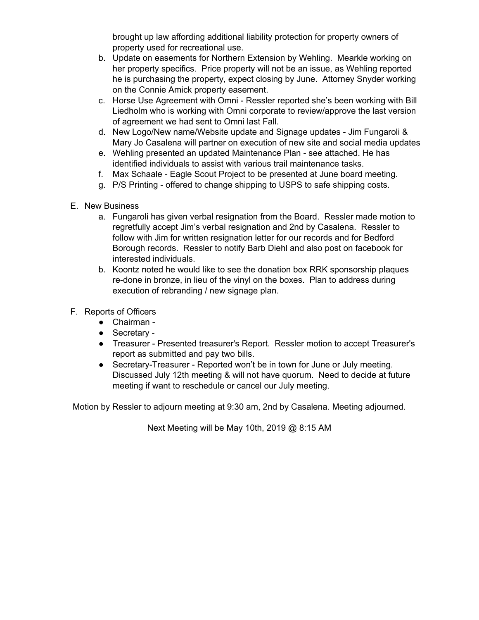brought up law affording additional liability protection for property owners of property used for recreational use.

- b. Update on easements for Northern Extension by Wehling. Mearkle working on her property specifics. Price property will not be an issue, as Wehling reported he is purchasing the property, expect closing by June. Attorney Snyder working on the Connie Amick property easement.
- c. Horse Use Agreement with Omni Ressler reported she's been working with Bill Liedholm who is working with Omni corporate to review/approve the last version of agreement we had sent to Omni last Fall.
- d. New Logo/New name/Website update and Signage updates Jim Fungaroli & Mary Jo Casalena will partner on execution of new site and social media updates
- e. Wehling presented an updated Maintenance Plan see attached. He has identified individuals to assist with various trail maintenance tasks.
- f. Max Schaale Eagle Scout Project to be presented at June board meeting.
- g. P/S Printing offered to change shipping to USPS to safe shipping costs.
- E. New Business
	- a. Fungaroli has given verbal resignation from the Board. Ressler made motion to regretfully accept Jim's verbal resignation and 2nd by Casalena. Ressler to follow with Jim for written resignation letter for our records and for Bedford Borough records. Ressler to notify Barb Diehl and also post on facebook for interested individuals.
	- b. Koontz noted he would like to see the donation box RRK sponsorship plaques re-done in bronze, in lieu of the vinyl on the boxes. Plan to address during execution of rebranding / new signage plan.
- F. Reports of Officers
	- Chairman -
	- Secretary -
	- Treasurer Presented treasurer's Report. Ressler motion to accept Treasurer's report as submitted and pay two bills.
	- Secretary-Treasurer Reported won't be in town for June or July meeting. Discussed July 12th meeting & will not have quorum. Need to decide at future meeting if want to reschedule or cancel our July meeting.

Motion by Ressler to adjourn meeting at 9:30 am, 2nd by Casalena. Meeting adjourned.

Next Meeting will be May 10th, 2019 @ 8:15 AM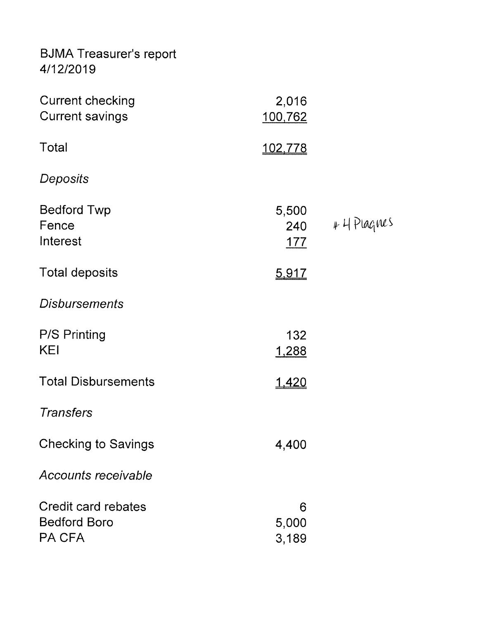**BJMA Treasurer's report** 4/12/2019

| <b>Current checking</b><br><b>Current savings</b>    | 2,016<br>100,762           |              |
|------------------------------------------------------|----------------------------|--------------|
| Total                                                | 102,778                    |              |
| Deposits                                             |                            |              |
| <b>Bedford Twp</b><br>Fence<br>Interest              | 5,500<br>240<br><u>177</u> | $44$ Plagnes |
| <b>Total deposits</b>                                | 5,917                      |              |
| <b>Disbursements</b>                                 |                            |              |
| <b>P/S Printing</b><br>KEI                           | 132<br>1,288               |              |
| <b>Total Disbursements</b>                           | <u>1,420</u>               |              |
| <b>Transfers</b>                                     |                            |              |
| <b>Checking to Savings</b>                           | 4,400                      |              |
| Accounts receivable                                  |                            |              |
| Credit card rebates<br><b>Bedford Boro</b><br>PA CFA | 6<br>5,000<br>3,189        |              |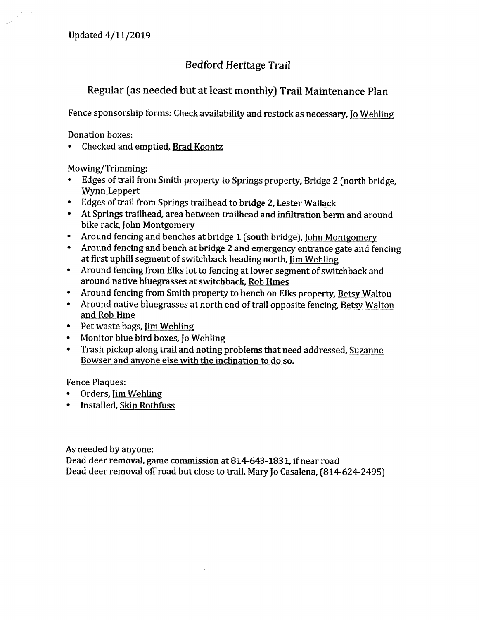### **Bedford Heritage Trail**

# Regular (as needed but at least monthly) Trail Maintenance Plan

Fence sponsorship forms: Check availability and restock as necessary, Jo Wehling

Donation boxes:

Checked and emptied, Brad Koontz

Mowing/Trimming:

- Edges of trail from Smith property to Springs property, Bridge 2 (north bridge, Wynn Leppert
- Edges of trail from Springs trailhead to bridge 2, Lester Wallack  $\bullet$
- At Springs trailhead, area between trailhead and infiltration berm and around  $\bullet$ bike rack, John Montgomery
- Around fencing and benches at bridge 1 (south bridge), John Montgomery  $\bullet$
- Around fencing and bench at bridge 2 and emergency entrance gate and fencing  $\bullet$ at first uphill segment of switchback heading north, Jim Wehling
- Around fencing from Elks lot to fencing at lower segment of switchback and  $\bullet$ around native bluegrasses at switchback, Rob Hines
- Around fencing from Smith property to bench on Elks property, Betsy Walton
- Around native bluegrasses at north end of trail opposite fencing, Betsy Walton and Rob Hine
- Pet waste bags, <u>Jim Wehling</u>  $\bullet$
- Monitor blue bird boxes, Jo Wehling  $\bullet$
- Trash pickup along trail and noting problems that need addressed, Suzanne Bowser and anyone else with the inclination to do so.

**Fence Plaques:** 

- Orders, Jim Wehling  $\bullet$
- Installed, Skip Rothfuss

As needed by anyone:

Dead deer removal, game commission at 814-643-1831, if near road Dead deer removal off road but close to trail, Mary Jo Casalena, (814-624-2495)